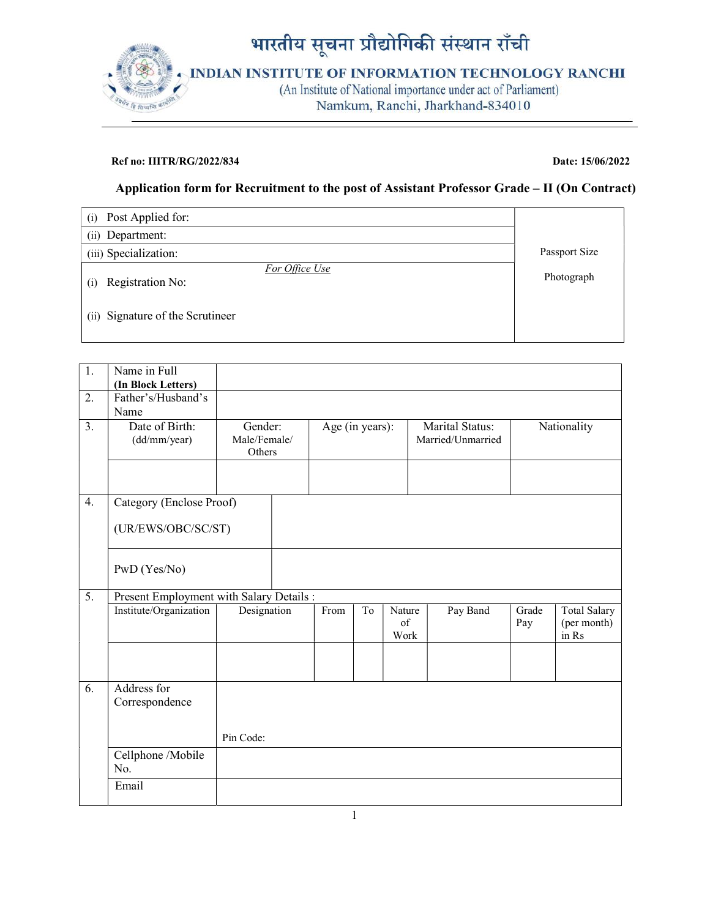

## Ref no: IIITR/RG/2022/834 Date: 15/06/2022

## Application form for Recruitment to the post of Assistant Professor Grade – II (On Contract)

| Post Applied for:<br>(i)                  |               |
|-------------------------------------------|---------------|
| (ii) Department:                          |               |
| (iii) Specialization:                     | Passport Size |
| For Office Use<br>Registration No:<br>(i) | Photograph    |
| (ii) Signature of the Scrutineer          |               |

| 1. | Name in Full                             |                         |                 |                |                      |                   |              |                                             |
|----|------------------------------------------|-------------------------|-----------------|----------------|----------------------|-------------------|--------------|---------------------------------------------|
| 2. | (In Block Letters)<br>Father's/Husband's |                         |                 |                |                      |                   |              |                                             |
|    | Name                                     |                         |                 |                |                      |                   |              |                                             |
| 3. | Date of Birth:                           | Gender:<br>Male/Female/ | Age (in years): |                |                      | Marital Status:   |              | Nationality                                 |
|    | (dd/mm/year)                             | Others                  |                 |                |                      | Married/Unmarried |              |                                             |
|    |                                          |                         |                 |                |                      |                   |              |                                             |
| 4. | Category (Enclose Proof)                 |                         |                 |                |                      |                   |              |                                             |
|    | (UR/EWS/OBC/SC/ST)                       |                         |                 |                |                      |                   |              |                                             |
|    | PwD (Yes/No)                             |                         |                 |                |                      |                   |              |                                             |
| 5. | Present Employment with Salary Details : |                         |                 |                |                      |                   |              |                                             |
|    | Institute/Organization                   | Designation             | From            | T <sub>o</sub> | Nature<br>of<br>Work | Pay Band          | Grade<br>Pay | <b>Total Salary</b><br>(per month)<br>in Rs |
|    |                                          |                         |                 |                |                      |                   |              |                                             |
| 6. | Address for<br>Correspondence            |                         |                 |                |                      |                   |              |                                             |
|    |                                          | Pin Code:               |                 |                |                      |                   |              |                                             |
|    | Cellphone /Mobile<br>No.                 |                         |                 |                |                      |                   |              |                                             |
|    | Email                                    |                         |                 |                |                      |                   |              |                                             |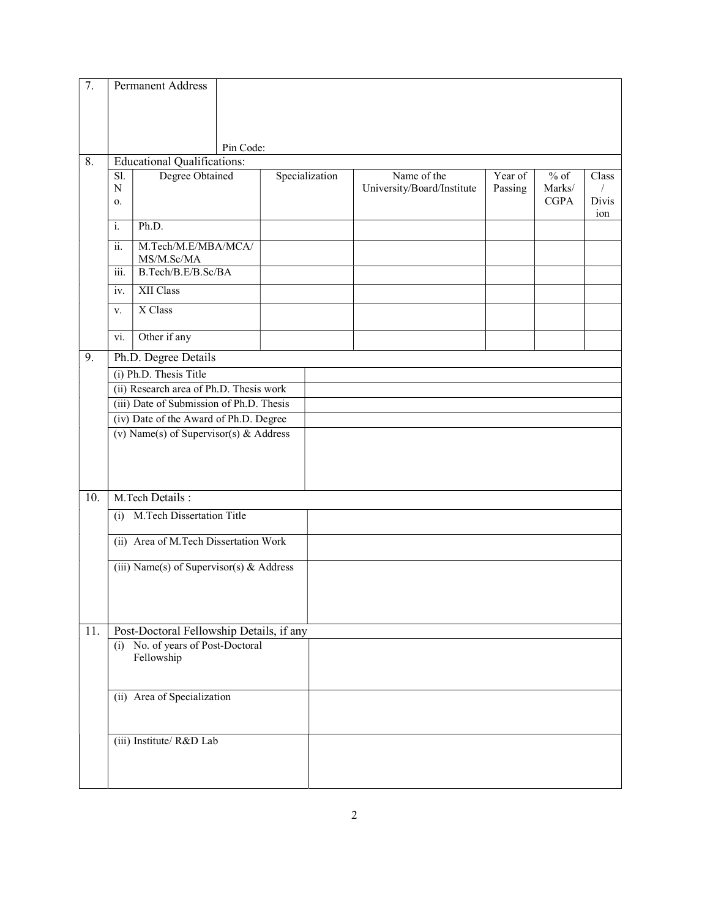| 7.  |                                                                                  | <b>Permanent Address</b>                        |           |  |                |                                           |                    |                                 |                       |
|-----|----------------------------------------------------------------------------------|-------------------------------------------------|-----------|--|----------------|-------------------------------------------|--------------------|---------------------------------|-----------------------|
|     |                                                                                  |                                                 |           |  |                |                                           |                    |                                 |                       |
|     |                                                                                  |                                                 | Pin Code: |  |                |                                           |                    |                                 |                       |
| 8.  |                                                                                  | <b>Educational Qualifications:</b>              |           |  |                |                                           |                    |                                 |                       |
|     | Sl.<br>N<br>0.                                                                   | Degree Obtained                                 |           |  | Specialization | Name of the<br>University/Board/Institute | Year of<br>Passing | $%$ of<br>Marks/<br><b>CGPA</b> | Class<br>Divis<br>ion |
|     | i.                                                                               | Ph.D.                                           |           |  |                |                                           |                    |                                 |                       |
|     | ii.                                                                              | M.Tech/M.E/MBA/MCA/<br>MS/M.Sc/MA               |           |  |                |                                           |                    |                                 |                       |
|     | iii.                                                                             | B.Tech/B.E/B.Sc/BA                              |           |  |                |                                           |                    |                                 |                       |
|     | iv.                                                                              | <b>XII Class</b>                                |           |  |                |                                           |                    |                                 |                       |
|     | V.                                                                               | X Class                                         |           |  |                |                                           |                    |                                 |                       |
|     | vi.                                                                              | Other if any                                    |           |  |                |                                           |                    |                                 |                       |
| 9.  |                                                                                  | Ph.D. Degree Details                            |           |  |                |                                           |                    |                                 |                       |
|     |                                                                                  | (i) Ph.D. Thesis Title                          |           |  |                |                                           |                    |                                 |                       |
|     |                                                                                  | (ii) Research area of Ph.D. Thesis work         |           |  |                |                                           |                    |                                 |                       |
|     | (iii) Date of Submission of Ph.D. Thesis                                         |                                                 |           |  |                |                                           |                    |                                 |                       |
|     | (iv) Date of the Award of Ph.D. Degree<br>(v) Name(s) of Supervisor(s) & Address |                                                 |           |  |                |                                           |                    |                                 |                       |
|     |                                                                                  |                                                 |           |  |                |                                           |                    |                                 |                       |
|     |                                                                                  |                                                 |           |  |                |                                           |                    |                                 |                       |
|     |                                                                                  | M.Tech Details:                                 |           |  |                |                                           |                    |                                 |                       |
| 10. |                                                                                  |                                                 |           |  |                |                                           |                    |                                 |                       |
|     | (i)                                                                              | M.Tech Dissertation Title                       |           |  |                |                                           |                    |                                 |                       |
|     |                                                                                  | (ii) Area of M.Tech Dissertation Work           |           |  |                |                                           |                    |                                 |                       |
|     |                                                                                  | (iii) Name(s) of Supervisor(s) & Address        |           |  |                |                                           |                    |                                 |                       |
|     |                                                                                  |                                                 |           |  |                |                                           |                    |                                 |                       |
|     |                                                                                  |                                                 |           |  |                |                                           |                    |                                 |                       |
| 11. |                                                                                  | Post-Doctoral Fellowship Details, if any        |           |  |                |                                           |                    |                                 |                       |
|     |                                                                                  | (i) No. of years of Post-Doctoral<br>Fellowship |           |  |                |                                           |                    |                                 |                       |
|     |                                                                                  |                                                 |           |  |                |                                           |                    |                                 |                       |
|     |                                                                                  | (ii) Area of Specialization                     |           |  |                |                                           |                    |                                 |                       |
|     |                                                                                  |                                                 |           |  |                |                                           |                    |                                 |                       |
|     |                                                                                  | (iii) Institute/ R&D Lab                        |           |  |                |                                           |                    |                                 |                       |
|     |                                                                                  |                                                 |           |  |                |                                           |                    |                                 |                       |
|     |                                                                                  |                                                 |           |  |                |                                           |                    |                                 |                       |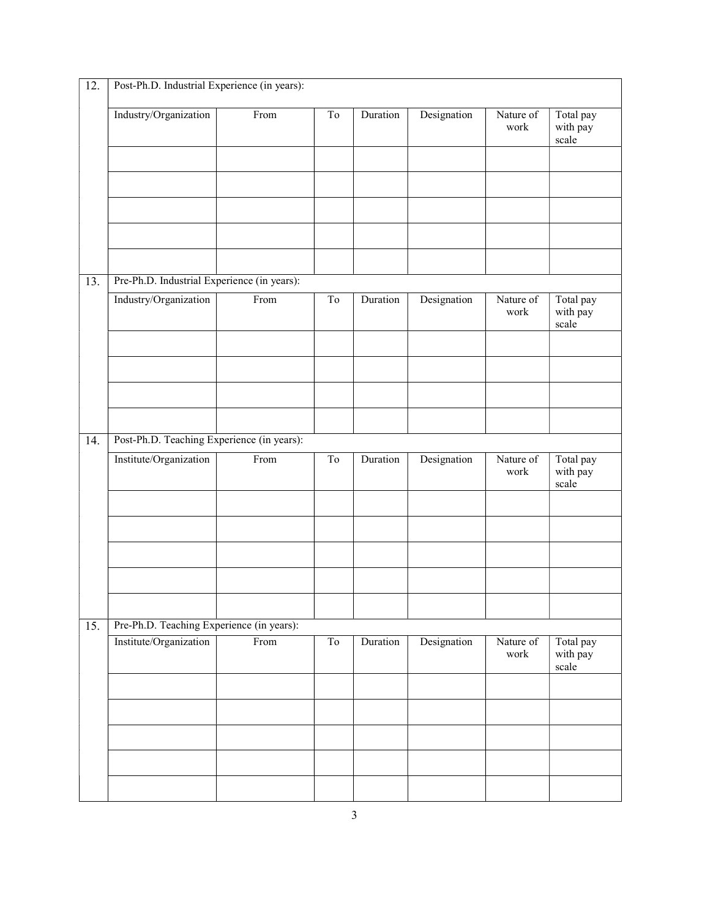| 12. | Post-Ph.D. Industrial Experience (in years): |      |                     |          |             |                   |                                |  |
|-----|----------------------------------------------|------|---------------------|----------|-------------|-------------------|--------------------------------|--|
|     | Industry/Organization                        | From | T <sub>o</sub>      | Duration | Designation | Nature of<br>work | Total pay<br>with pay<br>scale |  |
|     |                                              |      |                     |          |             |                   |                                |  |
|     |                                              |      |                     |          |             |                   |                                |  |
|     |                                              |      |                     |          |             |                   |                                |  |
|     |                                              |      |                     |          |             |                   |                                |  |
|     |                                              |      |                     |          |             |                   |                                |  |
| 13. | Pre-Ph.D. Industrial Experience (in years):  |      |                     |          |             |                   |                                |  |
|     | Industry/Organization                        | From | To                  | Duration | Designation | Nature of<br>work | Total pay<br>with pay<br>scale |  |
|     |                                              |      |                     |          |             |                   |                                |  |
|     |                                              |      |                     |          |             |                   |                                |  |
|     |                                              |      |                     |          |             |                   |                                |  |
|     |                                              |      |                     |          |             |                   |                                |  |
| 14. | Post-Ph.D. Teaching Experience (in years):   |      |                     |          |             |                   |                                |  |
|     | Institute/Organization                       | From | $\operatorname{To}$ | Duration | Designation | Nature of<br>work | Total pay<br>with pay<br>scale |  |
|     |                                              |      |                     |          |             |                   |                                |  |
|     |                                              |      |                     |          |             |                   |                                |  |
|     |                                              |      |                     |          |             |                   |                                |  |
|     |                                              |      |                     |          |             |                   |                                |  |
|     |                                              |      |                     |          |             |                   |                                |  |
| 15. | Pre-Ph.D. Teaching Experience (in years):    |      |                     |          |             |                   |                                |  |
|     | Institute/Organization                       | From | To                  | Duration | Designation | Nature of<br>work | Total pay<br>with pay<br>scale |  |
|     |                                              |      |                     |          |             |                   |                                |  |
|     |                                              |      |                     |          |             |                   |                                |  |
|     |                                              |      |                     |          |             |                   |                                |  |
|     |                                              |      |                     |          |             |                   |                                |  |
|     |                                              |      |                     |          |             |                   |                                |  |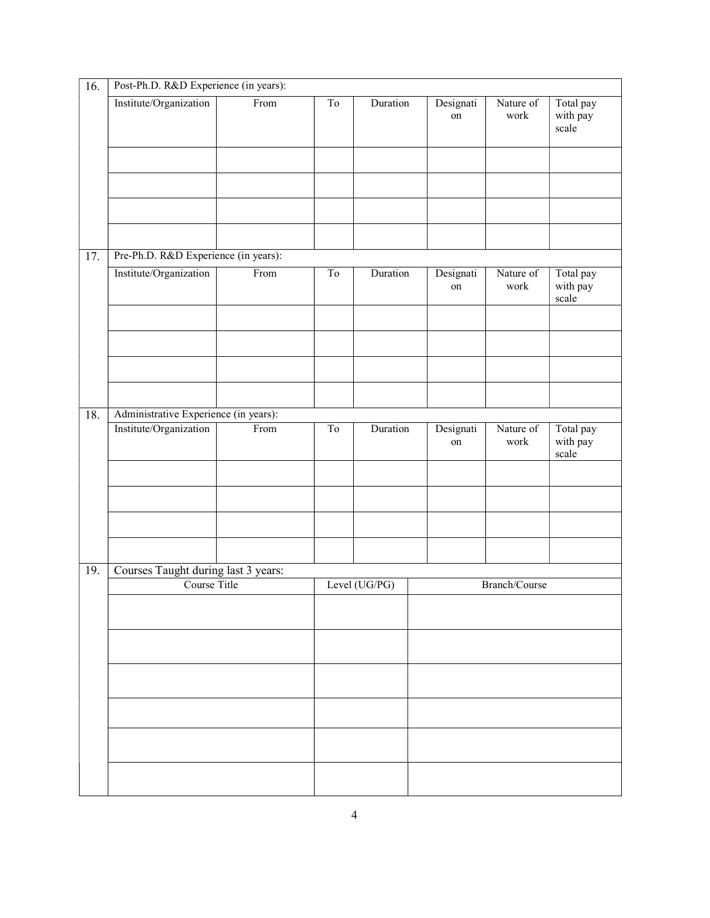| 16. | Post-Ph.D. R&D Experience (in years):               |      |                     |               |                 |                   |                                |  |  |
|-----|-----------------------------------------------------|------|---------------------|---------------|-----------------|-------------------|--------------------------------|--|--|
|     | Institute/Organization                              | From | To                  | Duration      | Designati<br>on | Nature of<br>work | Total pay<br>with pay<br>scale |  |  |
|     |                                                     |      |                     |               |                 |                   |                                |  |  |
|     |                                                     |      |                     |               |                 |                   |                                |  |  |
| 17. | Pre-Ph.D. R&D Experience (in years):                |      |                     |               |                 |                   |                                |  |  |
|     | Institute/Organization                              | From | $\operatorname{To}$ | Duration      | Designati<br>on | Nature of<br>work | Total pay<br>with pay<br>scale |  |  |
|     |                                                     |      |                     |               |                 |                   |                                |  |  |
|     | Administrative Experience (in years):               |      |                     |               |                 |                   |                                |  |  |
| 18. | Institute/Organization                              | From | To                  | Duration      | Designati<br>on | Nature of<br>work | Total pay<br>with pay<br>scale |  |  |
|     |                                                     |      |                     |               |                 |                   |                                |  |  |
|     |                                                     |      |                     |               |                 |                   |                                |  |  |
| 19. | Courses Taught during last 3 years:<br>Course Title |      |                     | Level (UG/PG) |                 | Branch/Course     |                                |  |  |
|     |                                                     |      |                     |               |                 |                   |                                |  |  |
|     |                                                     |      |                     |               |                 |                   |                                |  |  |
|     |                                                     |      |                     |               |                 |                   |                                |  |  |
|     |                                                     |      |                     |               |                 |                   |                                |  |  |
|     |                                                     |      |                     |               |                 |                   |                                |  |  |
|     |                                                     |      |                     |               |                 |                   |                                |  |  |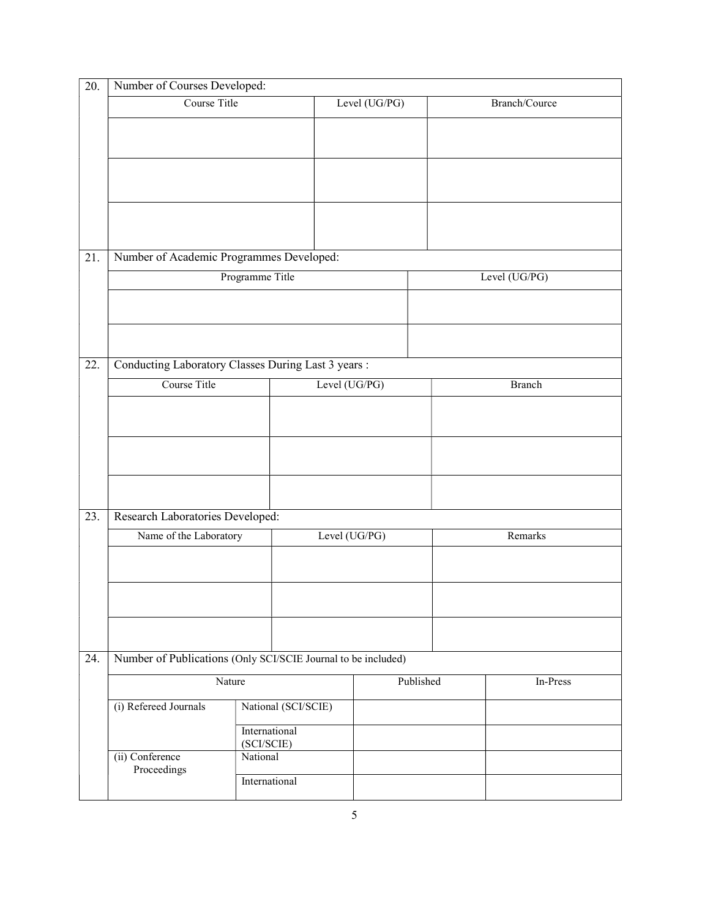| 20. | Number of Courses Developed:                                  |                             |               |           |               |               |  |  |  |
|-----|---------------------------------------------------------------|-----------------------------|---------------|-----------|---------------|---------------|--|--|--|
|     | Course Title                                                  |                             | Level (UG/PG) |           |               | Branch/Cource |  |  |  |
|     |                                                               |                             |               |           |               |               |  |  |  |
|     |                                                               |                             |               |           |               |               |  |  |  |
|     |                                                               |                             |               |           |               |               |  |  |  |
| 21. | Number of Academic Programmes Developed:                      |                             |               |           |               |               |  |  |  |
|     |                                                               | Programme Title             |               |           | Level (UG/PG) |               |  |  |  |
|     |                                                               |                             |               |           |               |               |  |  |  |
|     |                                                               |                             |               |           |               |               |  |  |  |
| 22. | Conducting Laboratory Classes During Last 3 years :           |                             |               |           |               |               |  |  |  |
|     | Course Title                                                  |                             | Level (UG/PG) |           |               | <b>Branch</b> |  |  |  |
|     |                                                               |                             |               |           |               |               |  |  |  |
|     |                                                               |                             |               |           |               |               |  |  |  |
|     |                                                               |                             |               |           |               |               |  |  |  |
| 23. | Research Laboratories Developed:                              |                             |               |           |               |               |  |  |  |
|     | Name of the Laboratory                                        |                             | Level (UG/PG) | Remarks   |               |               |  |  |  |
|     |                                                               |                             |               |           |               |               |  |  |  |
|     |                                                               |                             |               |           |               |               |  |  |  |
|     |                                                               |                             |               |           |               |               |  |  |  |
| 24. | Number of Publications (Only SCI/SCIE Journal to be included) |                             |               |           |               |               |  |  |  |
|     | Nature                                                        |                             |               | Published |               | In-Press      |  |  |  |
|     | (i) Refereed Journals                                         | National (SCI/SCIE)         |               |           |               |               |  |  |  |
|     |                                                               | International<br>(SCI/SCIE) |               |           |               |               |  |  |  |
|     | (ii) Conference<br>Proceedings                                | National                    |               |           |               |               |  |  |  |
|     |                                                               |                             |               |           |               |               |  |  |  |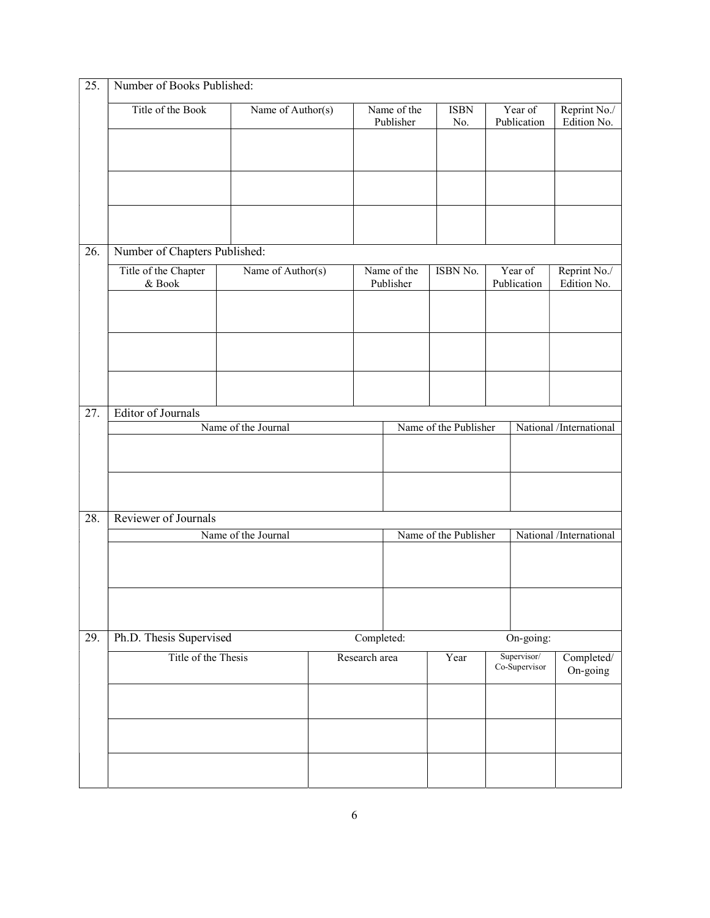| 25. | Number of Books Published:        |                     |               |                          |                       |  |                              |                             |
|-----|-----------------------------------|---------------------|---------------|--------------------------|-----------------------|--|------------------------------|-----------------------------|
|     | Title of the Book                 | Name of Author(s)   |               | Name of the<br>Publisher | <b>ISBN</b><br>No.    |  | Year of<br>Publication       | Reprint No./<br>Edition No. |
|     |                                   |                     |               |                          |                       |  |                              |                             |
|     |                                   |                     |               |                          |                       |  |                              |                             |
|     |                                   |                     |               |                          |                       |  |                              |                             |
|     |                                   |                     |               |                          |                       |  |                              |                             |
| 26. | Number of Chapters Published:     |                     |               |                          |                       |  |                              |                             |
|     | Title of the Chapter<br>$\&$ Book | Name of Author(s)   |               | Name of the<br>Publisher | ISBN No.              |  | Year of<br>Publication       | Reprint No./<br>Edition No. |
|     |                                   |                     |               |                          |                       |  |                              |                             |
|     |                                   |                     |               |                          |                       |  |                              |                             |
|     |                                   |                     |               |                          |                       |  |                              |                             |
|     |                                   |                     |               |                          |                       |  |                              |                             |
| 27. | <b>Editor of Journals</b>         |                     |               |                          |                       |  |                              |                             |
|     |                                   | Name of the Journal |               |                          | Name of the Publisher |  |                              | National /International     |
|     |                                   |                     |               |                          |                       |  |                              |                             |
|     |                                   |                     |               |                          |                       |  |                              |                             |
| 28. | Reviewer of Journals              |                     |               |                          |                       |  |                              |                             |
|     |                                   | Name of the Journal |               | Name of the Publisher    |                       |  | National /International      |                             |
|     |                                   |                     |               |                          |                       |  |                              |                             |
|     |                                   |                     |               |                          |                       |  |                              |                             |
|     |                                   |                     |               |                          |                       |  |                              |                             |
| 29. | Ph.D. Thesis Supervised           |                     | Completed:    |                          |                       |  | On-going:                    |                             |
|     | Title of the Thesis               |                     | Research area |                          | Year                  |  | Supervisor/<br>Co-Supervisor | Completed/<br>On-going      |
|     |                                   |                     |               |                          |                       |  |                              |                             |
|     |                                   |                     |               |                          |                       |  |                              |                             |
|     |                                   |                     |               |                          |                       |  |                              |                             |
|     |                                   |                     |               |                          |                       |  |                              |                             |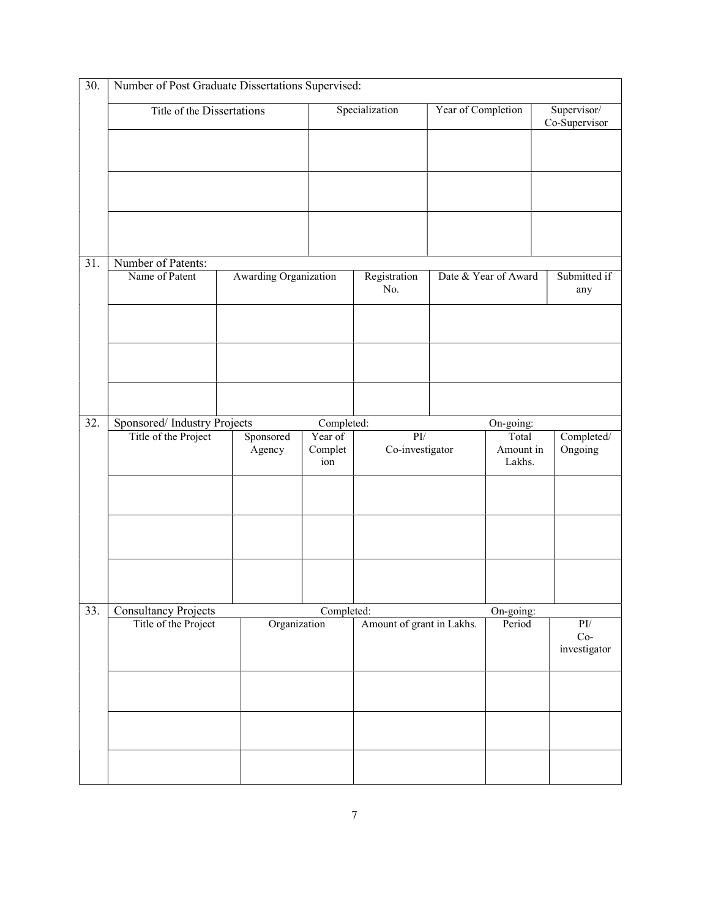|     | Title of the Dissertations  |                       |                           | Specialization            | Year of Completion   |                              | Supervisor/                  |
|-----|-----------------------------|-----------------------|---------------------------|---------------------------|----------------------|------------------------------|------------------------------|
|     |                             |                       |                           |                           |                      |                              | Co-Supervisor                |
|     |                             |                       |                           |                           |                      |                              |                              |
|     |                             |                       |                           |                           |                      |                              |                              |
| 31. | Number of Patents:          |                       |                           |                           |                      |                              |                              |
|     | Name of Patent              | Awarding Organization | Registration<br>No.       |                           | Date & Year of Award | Submitted if<br>any          |                              |
|     |                             |                       |                           |                           |                      |                              |                              |
|     |                             |                       |                           |                           |                      |                              |                              |
| 32. | Sponsored/Industry Projects |                       | Completed:                |                           |                      | On-going:                    |                              |
|     | Title of the Project        | Sponsored<br>Agency   | Year of<br>Complet<br>ion | PI/<br>Co-investigator    |                      | Total<br>Amount in<br>Lakhs. | Completed/<br>Ongoing        |
|     |                             |                       |                           |                           |                      |                              |                              |
|     |                             |                       |                           |                           |                      |                              |                              |
|     |                             |                       |                           |                           |                      |                              |                              |
| 33. | <b>Consultancy Projects</b> |                       | Completed:                |                           |                      | On-going:                    |                              |
|     | Title of the Project        | Organization          |                           | Amount of grant in Lakhs. |                      | Period                       | PI/<br>$Co-$<br>investigator |
|     |                             |                       |                           |                           |                      |                              |                              |
|     |                             |                       |                           |                           |                      |                              |                              |
|     |                             |                       |                           |                           |                      |                              |                              |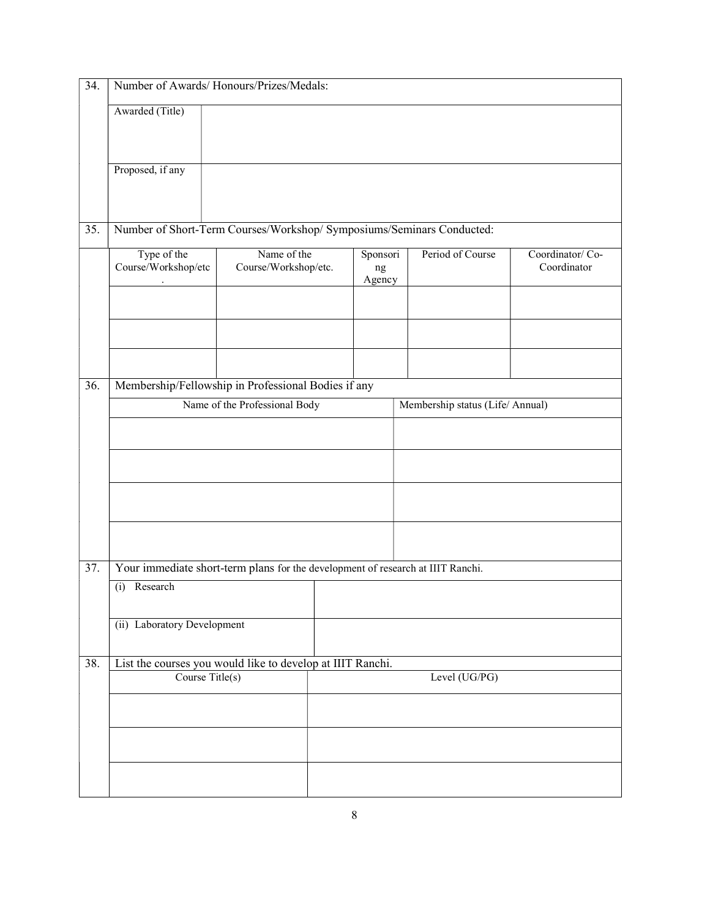| 34. | Number of Awards/Honours/Prizes/Medals:                                         |                                     |  |                          |                                  |                                |  |  |
|-----|---------------------------------------------------------------------------------|-------------------------------------|--|--------------------------|----------------------------------|--------------------------------|--|--|
|     | Awarded (Title)                                                                 |                                     |  |                          |                                  |                                |  |  |
|     |                                                                                 |                                     |  |                          |                                  |                                |  |  |
|     | Proposed, if any                                                                |                                     |  |                          |                                  |                                |  |  |
|     |                                                                                 |                                     |  |                          |                                  |                                |  |  |
| 35. | Number of Short-Term Courses/Workshop/ Symposiums/Seminars Conducted:           |                                     |  |                          |                                  |                                |  |  |
|     | Type of the<br>Course/Workshop/etc                                              | Name of the<br>Course/Workshop/etc. |  | Sponsori<br>ng<br>Agency | Period of Course                 | Coordinator/Co-<br>Coordinator |  |  |
|     |                                                                                 |                                     |  |                          |                                  |                                |  |  |
|     |                                                                                 |                                     |  |                          |                                  |                                |  |  |
|     |                                                                                 |                                     |  |                          |                                  |                                |  |  |
| 36. | Membership/Fellowship in Professional Bodies if any                             |                                     |  |                          |                                  |                                |  |  |
|     |                                                                                 | Name of the Professional Body       |  |                          | Membership status (Life/ Annual) |                                |  |  |
|     |                                                                                 |                                     |  |                          |                                  |                                |  |  |
|     |                                                                                 |                                     |  |                          |                                  |                                |  |  |
|     |                                                                                 |                                     |  |                          |                                  |                                |  |  |
|     |                                                                                 |                                     |  |                          |                                  |                                |  |  |
| 37. | Your immediate short-term plans for the development of research at IIIT Ranchi. |                                     |  |                          |                                  |                                |  |  |
|     | Research<br>(i)                                                                 |                                     |  |                          |                                  |                                |  |  |
|     |                                                                                 |                                     |  |                          |                                  |                                |  |  |
|     | (ii) Laboratory Development                                                     |                                     |  |                          |                                  |                                |  |  |
| 38. | List the courses you would like to develop at IIIT Ranchi.                      |                                     |  |                          |                                  |                                |  |  |
|     | Course Title(s)                                                                 |                                     |  |                          | Level (UG/PG)                    |                                |  |  |
|     |                                                                                 |                                     |  |                          |                                  |                                |  |  |
|     |                                                                                 |                                     |  |                          |                                  |                                |  |  |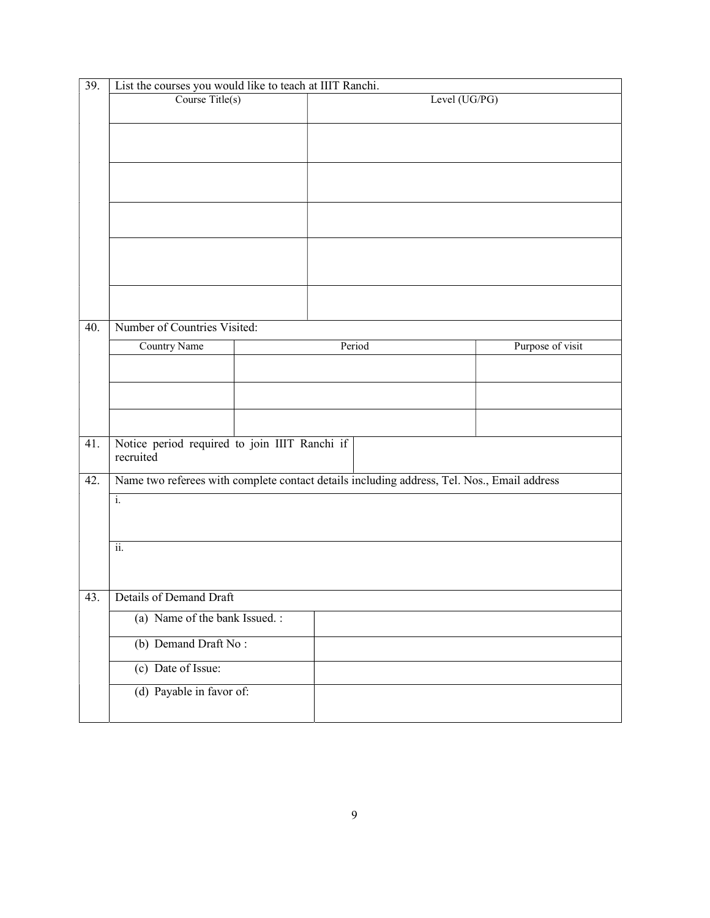|     | List the courses you would like to teach at IIIT Ranchi.   |  |                                                                                             |                  |  |  |  |  |
|-----|------------------------------------------------------------|--|---------------------------------------------------------------------------------------------|------------------|--|--|--|--|
|     | Course Title(s)                                            |  | Level (UG/PG)                                                                               |                  |  |  |  |  |
|     |                                                            |  |                                                                                             |                  |  |  |  |  |
|     |                                                            |  |                                                                                             |                  |  |  |  |  |
|     |                                                            |  |                                                                                             |                  |  |  |  |  |
|     |                                                            |  |                                                                                             |                  |  |  |  |  |
|     |                                                            |  |                                                                                             |                  |  |  |  |  |
|     |                                                            |  |                                                                                             |                  |  |  |  |  |
|     |                                                            |  |                                                                                             |                  |  |  |  |  |
|     |                                                            |  |                                                                                             |                  |  |  |  |  |
|     |                                                            |  |                                                                                             |                  |  |  |  |  |
|     |                                                            |  |                                                                                             |                  |  |  |  |  |
|     |                                                            |  |                                                                                             |                  |  |  |  |  |
| 40. | Number of Countries Visited:                               |  |                                                                                             |                  |  |  |  |  |
|     | Country Name                                               |  | Period                                                                                      | Purpose of visit |  |  |  |  |
|     |                                                            |  |                                                                                             |                  |  |  |  |  |
|     |                                                            |  |                                                                                             |                  |  |  |  |  |
|     |                                                            |  |                                                                                             |                  |  |  |  |  |
|     |                                                            |  |                                                                                             |                  |  |  |  |  |
| 41. | Notice period required to join IIIT Ranchi if<br>recruited |  |                                                                                             |                  |  |  |  |  |
| 42. |                                                            |  | Name two referees with complete contact details including address, Tel. Nos., Email address |                  |  |  |  |  |
|     | $\overline{\mathbf{i}}$ .                                  |  |                                                                                             |                  |  |  |  |  |
|     |                                                            |  |                                                                                             |                  |  |  |  |  |
|     |                                                            |  |                                                                                             |                  |  |  |  |  |
|     | $\overline{ii}$ .                                          |  |                                                                                             |                  |  |  |  |  |
|     |                                                            |  |                                                                                             |                  |  |  |  |  |
|     | Details of Demand Draft                                    |  |                                                                                             |                  |  |  |  |  |
|     |                                                            |  |                                                                                             |                  |  |  |  |  |
|     | (a) Name of the bank Issued.:                              |  |                                                                                             |                  |  |  |  |  |
| 43. | (b) Demand Draft No:                                       |  |                                                                                             |                  |  |  |  |  |
|     | (c) Date of Issue:                                         |  |                                                                                             |                  |  |  |  |  |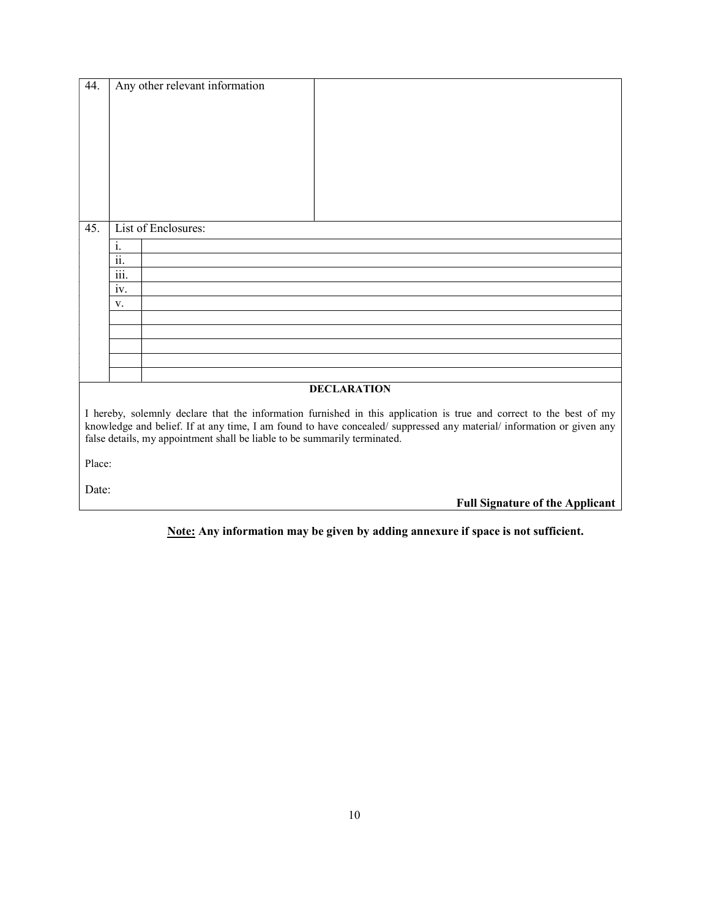| 44.    |                    | Any other relevant information                                                                                      |  |
|--------|--------------------|---------------------------------------------------------------------------------------------------------------------|--|
|        |                    |                                                                                                                     |  |
|        |                    |                                                                                                                     |  |
|        |                    |                                                                                                                     |  |
|        |                    |                                                                                                                     |  |
|        |                    |                                                                                                                     |  |
|        |                    |                                                                                                                     |  |
|        |                    |                                                                                                                     |  |
|        |                    |                                                                                                                     |  |
|        |                    |                                                                                                                     |  |
| 45.    |                    | List of Enclosures:                                                                                                 |  |
|        | $\overline{i}$ .   |                                                                                                                     |  |
|        | 11.                |                                                                                                                     |  |
|        | $\dddotsc$<br>111. |                                                                                                                     |  |
|        | iv.                |                                                                                                                     |  |
|        | V.                 |                                                                                                                     |  |
|        |                    |                                                                                                                     |  |
|        |                    |                                                                                                                     |  |
|        |                    |                                                                                                                     |  |
|        |                    |                                                                                                                     |  |
|        |                    |                                                                                                                     |  |
|        |                    | <b>DECLARATION</b>                                                                                                  |  |
|        |                    | I hereby, solemnly declare that the information furnished in this application is true and correct to the best of my |  |
|        |                    | knowledge and belief. If at any time, I am found to have concealed/suppressed any material/information or given any |  |
|        |                    | false details, my appointment shall be liable to be summarily terminated.                                           |  |
|        |                    |                                                                                                                     |  |
| Place: |                    |                                                                                                                     |  |
|        |                    |                                                                                                                     |  |
| Date:  |                    |                                                                                                                     |  |
|        |                    | <b>Full Signature of the Applicant</b>                                                                              |  |

Note: Any information may be given by adding annexure if space is not sufficient.